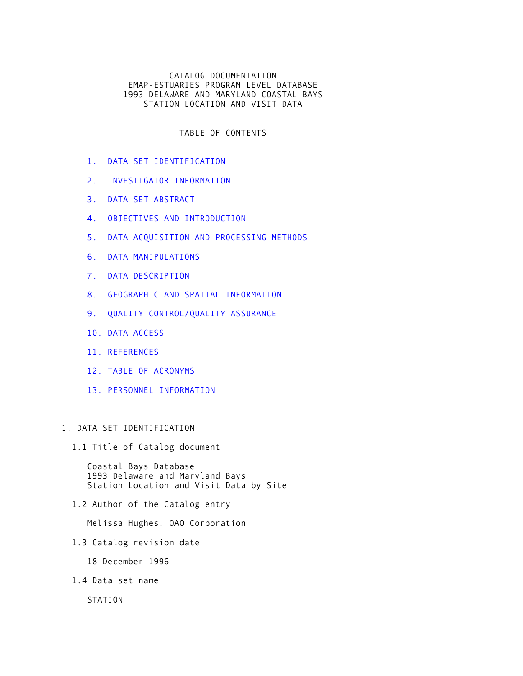## CATALOG DOCUMENTATION EMAP-ESTUARIES PROGRAM LEVEL DATABASE 1993 DELAWARE AND MARYLAND COASTAL BAYS STATION LOCATION AND VISIT DATA

TABLE OF CONTENTS

- [1. DATA SET IDENTIFICATION](#page-0-0)
- [2. INVESTIGATOR INFORMATION](#page-1-0)
- [3. DATA SET ABSTRACT](#page-1-1)
- [4. OBJECTIVES AND INTRODUCTION](#page-2-0)
- [5. DATA ACQUISITION AND PROCESSING METHODS](#page-2-1)
- [6. DATA MANIPULATIONS](#page-3-0)
- [7. DATA DESCRIPTION](#page-4-0)
- [8. GEOGRAPHIC AND SPATIAL INFORMATION](#page-5-0)
- [9. QUALITY CONTROL/QUALITY ASSURANCE](#page-5-1)
- [10. DATA ACCESS](#page-6-0)
- [11. REFERENCES](#page-6-1)
- [12. TABLE OF ACRONYMS](#page-7-0)
- [13. PERSONNEL INFORMATION](#page-7-1)

# <span id="page-0-0"></span>1. DATA SET IDENTIFICATION

1.1 Title of Catalog document

 Coastal Bays Database 1993 Delaware and Maryland Bays Station Location and Visit Data by Site

1.2 Author of the Catalog entry

Melissa Hughes, OAO Corporation

1.3 Catalog revision date

18 December 1996

1.4 Data set name

STATION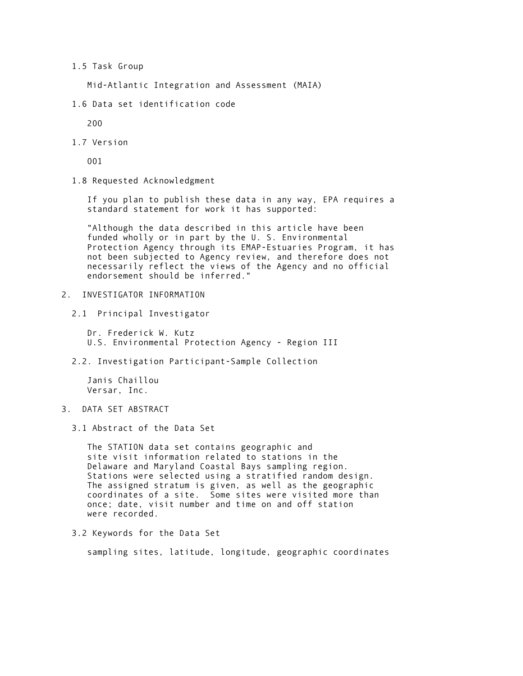### 1.5 Task Group

Mid-Atlantic Integration and Assessment (MAIA)

1.6 Data set identification code

200

1.7 Version

001

1.8 Requested Acknowledgment

 If you plan to publish these data in any way, EPA requires a standard statement for work it has supported:

 "Although the data described in this article have been funded wholly or in part by the U. S. Environmental Protection Agency through its EMAP-Estuaries Program, it has not been subjected to Agency review, and therefore does not necessarily reflect the views of the Agency and no official endorsement should be inferred."

- <span id="page-1-0"></span>2. INVESTIGATOR INFORMATION
	- 2.1 Principal Investigator

 Dr. Frederick W. Kutz U.S. Environmental Protection Agency - Region III

2.2. Investigation Participant-Sample Collection

 Janis Chaillou Versar, Inc.

- <span id="page-1-1"></span>3. DATA SET ABSTRACT
	- 3.1 Abstract of the Data Set

 The STATION data set contains geographic and site visit information related to stations in the Delaware and Maryland Coastal Bays sampling region. Stations were selected using a stratified random design. The assigned stratum is given, as well as the geographic coordinates of a site. Some sites were visited more than once; date, visit number and time on and off station were recorded.

3.2 Keywords for the Data Set

sampling sites, latitude, longitude, geographic coordinates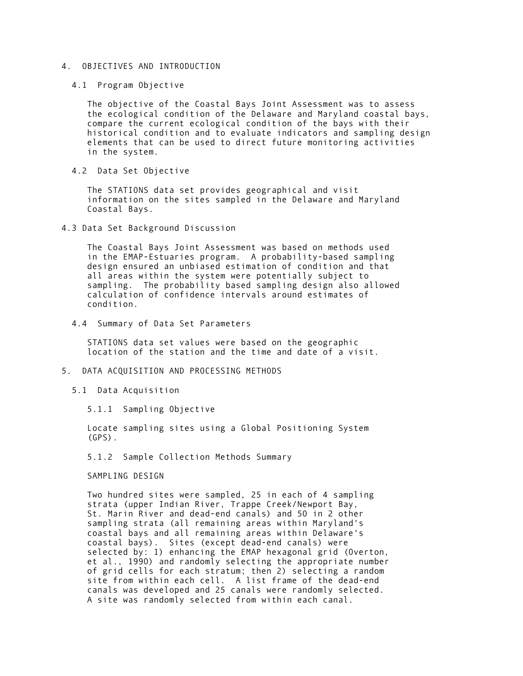## <span id="page-2-0"></span>4. OBJECTIVES AND INTRODUCTION

4.1 Program Objective

 The objective of the Coastal Bays Joint Assessment was to assess the ecological condition of the Delaware and Maryland coastal bays, compare the current ecological condition of the bays with their historical condition and to evaluate indicators and sampling design elements that can be used to direct future monitoring activities in the system.

4.2 Data Set Objective

 The STATIONS data set provides geographical and visit information on the sites sampled in the Delaware and Maryland Coastal Bays.

4.3 Data Set Background Discussion

 The Coastal Bays Joint Assessment was based on methods used in the EMAP-Estuaries program. A probability-based sampling design ensured an unbiased estimation of condition and that all areas within the system were potentially subject to sampling. The probability based sampling design also allowed calculation of confidence intervals around estimates of condition.

4.4 Summary of Data Set Parameters

 STATIONS data set values were based on the geographic location of the station and the time and date of a visit.

## <span id="page-2-1"></span>5. DATA ACQUISITION AND PROCESSING METHODS

5.1 Data Acquisition

5.1.1 Sampling Objective

 Locate sampling sites using a Global Positioning System (GPS).

5.1.2 Sample Collection Methods Summary

SAMPLING DESIGN

 Two hundred sites were sampled, 25 in each of 4 sampling strata (upper Indian River, Trappe Creek/Newport Bay, St. Marin River and dead-end canals) and 50 in 2 other sampling strata (all remaining areas within Maryland's coastal bays and all remaining areas within Delaware's coastal bays). Sites (except dead-end canals) were selected by: 1) enhancing the EMAP hexagonal grid (Overton, et al., 1990) and randomly selecting the appropriate number of grid cells for each stratum; then 2) selecting a random site from within each cell. A list frame of the dead-end canals was developed and 25 canals were randomly selected. A site was randomly selected from within each canal.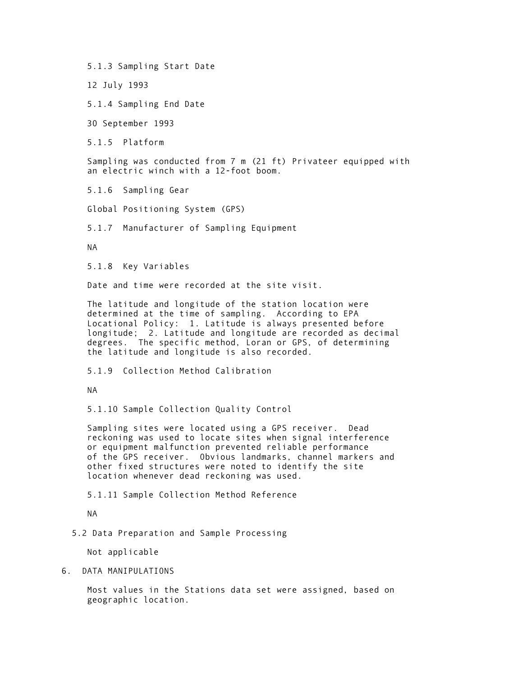5.1.3 Sampling Start Date

12 July 1993

5.1.4 Sampling End Date

30 September 1993

5.1.5 Platform

 Sampling was conducted from 7 m (21 ft) Privateer equipped with an electric winch with a 12-foot boom.

5.1.6 Sampling Gear

Global Positioning System (GPS)

5.1.7 Manufacturer of Sampling Equipment

NA

5.1.8 Key Variables

Date and time were recorded at the site visit.

 The latitude and longitude of the station location were determined at the time of sampling. According to EPA Locational Policy: 1. Latitude is always presented before longitude; 2. Latitude and longitude are recorded as decimal degrees. The specific method, Loran or GPS, of determining the latitude and longitude is also recorded.

5.1.9 Collection Method Calibration

NA

5.1.10 Sample Collection Quality Control

 Sampling sites were located using a GPS receiver. Dead reckoning was used to locate sites when signal interference or equipment malfunction prevented reliable performance of the GPS receiver. Obvious landmarks, channel markers and other fixed structures were noted to identify the site location whenever dead reckoning was used.

5.1.11 Sample Collection Method Reference

NA

<span id="page-3-0"></span>5.2 Data Preparation and Sample Processing

Not applicable

6. DATA MANIPULATIONS

 Most values in the Stations data set were assigned, based on geographic location.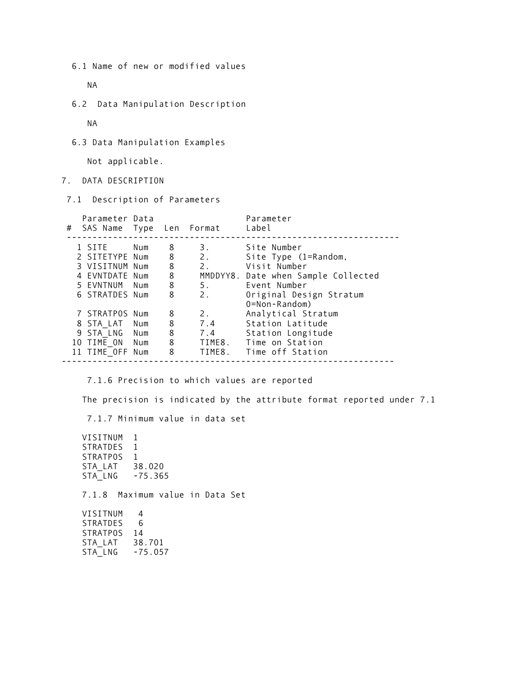6.1 Name of new or modified values

NA

6.2 Data Manipulation Description

NA

6.3 Data Manipulation Examples

Not applicable.

 $STA_LNG -75.057$ 

<span id="page-4-0"></span>7. DATA DESCRIPTION

7.1 Description of Parameters

| Parameter Data  |     |   | # SAS Name Type Len Format | Parameter<br>Label                       |
|-----------------|-----|---|----------------------------|------------------------------------------|
| 1 SITE          | Num | 8 | 3.                         | Site Number                              |
| 2 SITETYPE Num  |     | 8 | 2.                         | Site Type (1=Random,                     |
| 3 VISITNUM Num  |     | 8 | 2.                         | Visit Number                             |
| 4 EVNTDATE Num  |     | 8 |                            | MMDDYY8. Date when Sample Collected      |
| 5 EVNTNUM Num   |     | 8 | 5.                         | Event Number                             |
| 6 STRATDES Num  |     | 8 | 2.                         | Original Design Stratum<br>0=Non-Random) |
| 7 STRATPOS Num  |     | 8 | 2.                         | Analytical Stratum                       |
| 8 STA LAT Num   |     | 8 | 7.4                        | Station Latitude                         |
| 9 STA LNG Num   |     | 8 | 7.4                        | Station Longitude                        |
|                 |     |   |                            |                                          |
| 10 TIME ON Num  |     | 8 | TIME8.                     | Time on Station                          |
| 11 TIME OFF Num |     | 8 |                            | TIME8. Time off Station                  |

 7.1.6 Precision to which values are reported The precision is indicated by the attribute format reported under 7.1 7.1.7 Minimum value in data set VISITNUM 1 STRATDES<sub>1</sub> STRATPOS<sub>1</sub> STA\_LAT 38.020 STA\_LNG -75.365 7.1.8 Maximum value in Data Set VISITNUM 4<br>STRATDES 6 STRATDES STRATPOS 14 STA\_LAT 38.701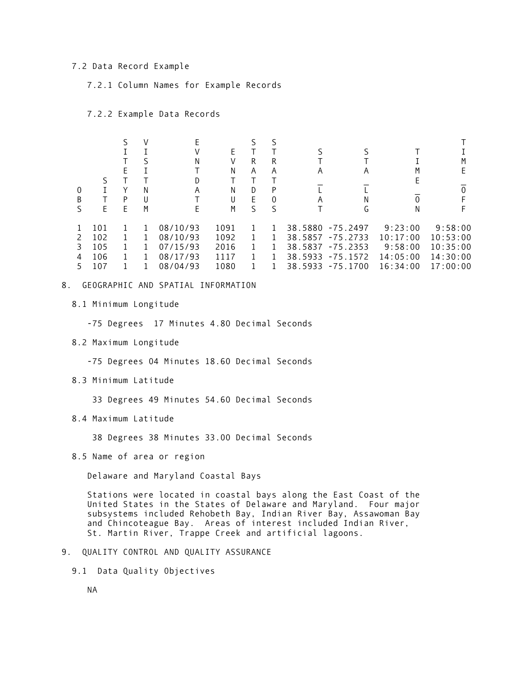#### 7.2 Data Record Example

7.2.1 Column Names for Example Records

7.2.2 Example Data Records

|   |     |   |   | Ν        |      | R | R        |         |                  |          |          |
|---|-----|---|---|----------|------|---|----------|---------|------------------|----------|----------|
|   |     | F |   |          | Ν    | A | A        | A       | A                |          |          |
|   |     |   |   | D        |      |   |          |         |                  |          |          |
| 0 |     |   | N | Α        | N    | D | P        |         |                  |          |          |
| B |     | P | U |          | U    | F | $\Omega$ | Α       | N                |          |          |
|   | E   | F | M | Е        | M    | ς | S        |         | G                | N        |          |
|   | 101 |   |   | 08/10/93 | 1091 |   |          | 38.5880 | $-75.2497$       | 9:23:00  | 9:58:00  |
|   | 102 |   |   | 08/10/93 | 1092 |   |          | 38.5857 | $-75.2733$       | 10:17:00 | 10:53:00 |
| 3 | 105 |   |   | 07/15/93 | 2016 |   |          | 38.5837 | $-75.2353$       | 9:58:00  | 10:35:00 |
| 4 | 106 |   |   | 08/17/93 | 1117 |   |          | 38.5933 | $-75.1572$       | 14:05:00 | 14:30:00 |
|   | 107 |   |   | 08/04/93 | 1080 |   |          |         | 38.5933 -75.1700 | 16:34:00 | 17:00:00 |

#### <span id="page-5-0"></span>8. GEOGRAPHIC AND SPATIAL INFORMATION

8.1 Minimum Longitude

-75 Degrees 17 Minutes 4.80 Decimal Seconds

8.2 Maximum Longitude

-75 Degrees 04 Minutes 18.60 Decimal Seconds

8.3 Minimum Latitude

33 Degrees 49 Minutes 54.60 Decimal Seconds

8.4 Maximum Latitude

38 Degrees 38 Minutes 33.00 Decimal Seconds

8.5 Name of area or region

Delaware and Maryland Coastal Bays

<span id="page-5-1"></span> Stations were located in coastal bays along the East Coast of the United States in the States of Delaware and Maryland. Four major subsystems included Rehobeth Bay, Indian River Bay, Assawoman Bay and Chincoteague Bay. Areas of interest included Indian River, St. Martin River, Trappe Creek and artificial lagoons.

- 9. QUALITY CONTROL AND QUALITY ASSURANCE
	- 9.1 Data Quality Objectives

NA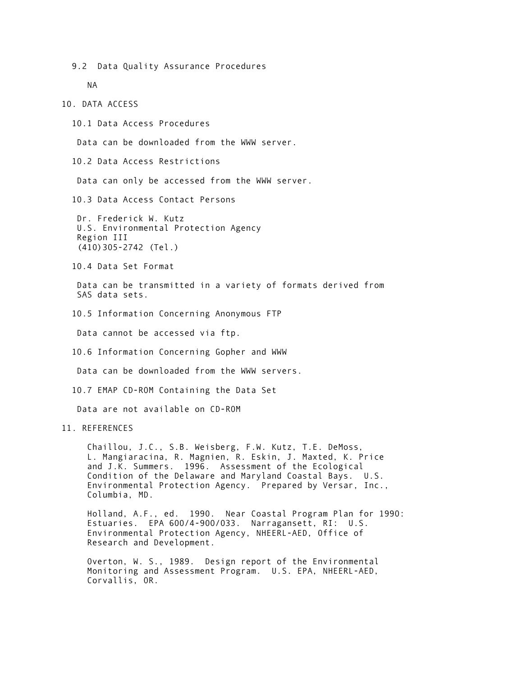9.2 Data Quality Assurance Procedures

NA

#### <span id="page-6-0"></span>10. DATA ACCESS

10.1 Data Access Procedures

Data can be downloaded from the WWW server.

10.2 Data Access Restrictions

Data can only be accessed from the WWW server.

10.3 Data Access Contact Persons

 Dr. Frederick W. Kutz U.S. Environmental Protection Agency Region III (410)305-2742 (Tel.)

10.4 Data Set Format

 Data can be transmitted in a variety of formats derived from SAS data sets.

10.5 Information Concerning Anonymous FTP

Data cannot be accessed via ftp.

10.6 Information Concerning Gopher and WWW

Data can be downloaded from the WWW servers.

10.7 EMAP CD-ROM Containing the Data Set

Data are not available on CD-ROM

# <span id="page-6-1"></span>11. REFERENCES

 Chaillou, J.C., S.B. Weisberg, F.W. Kutz, T.E. DeMoss, L. Mangiaracina, R. Magnien, R. Eskin, J. Maxted, K. Price and J.K. Summers. 1996. Assessment of the Ecological Condition of the Delaware and Maryland Coastal Bays. U.S. Environmental Protection Agency. Prepared by Versar, Inc., Columbia, MD.

 Holland, A.F., ed. 1990. Near Coastal Program Plan for 1990: Estuaries. EPA 600/4-900/033. Narragansett, RI: U.S. Environmental Protection Agency, NHEERL-AED, Office of Research and Development.

 Overton, W. S., 1989. Design report of the Environmental Monitoring and Assessment Program. U.S. EPA, NHEERL-AED, Corvallis, OR.